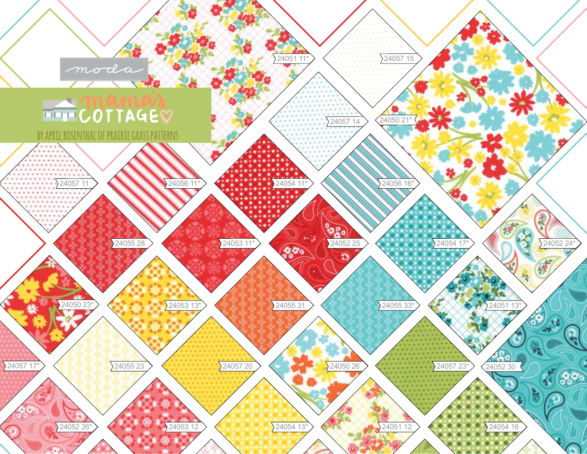